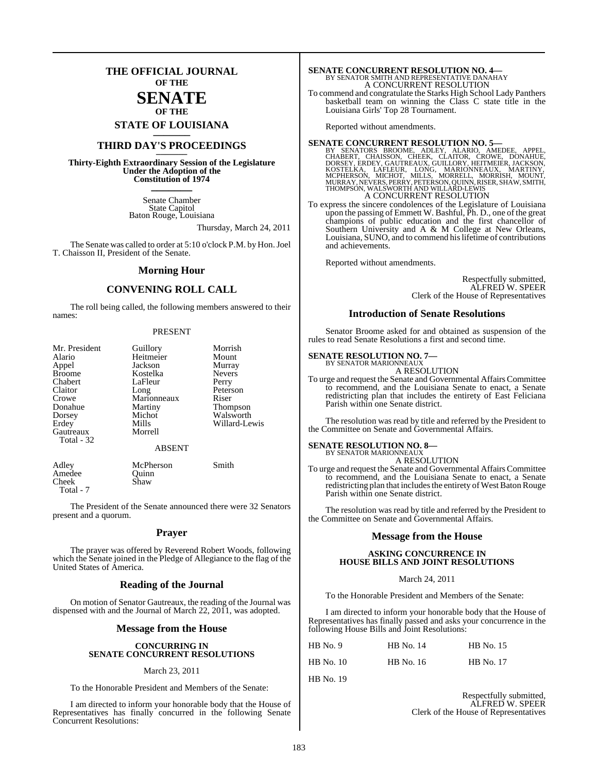## **THE OFFICIAL JOURNAL OF THE**

### **SENATE OF THE**

**STATE OF LOUISIANA \_\_\_\_\_\_\_**

## **THIRD DAY'S PROCEEDINGS \_\_\_\_\_\_\_**

**Thirty-Eighth Extraordinary Session of the Legislature Under the Adoption of the Constitution of 1974 \_\_\_\_\_\_\_**

> Senate Chamber State Capitol Baton Rouge, Louisiana

> > Thursday, March 24, 2011

The Senate was called to order at 5:10 o'clock P.M. by Hon. Joel T. Chaisson II, President of the Senate.

#### **Morning Hour**

#### **CONVENING ROLL CALL**

The roll being called, the following members answered to their names:

#### PRESENT

| Mr. President<br>Alario<br>Appel<br><b>Broome</b><br>Chabert<br>Claitor<br>Crowe<br>Donahue<br>Dorsey<br>Erdey | Guillory<br>Heitmeier<br>Jackson<br>Kostelka<br>LaFleur<br>Long<br>Marionneaux<br>Martiny<br>Michot<br>Mills | Morrish<br>Mount<br>Murray<br><b>Nevers</b><br>Perry<br>Peterson<br>Riser<br><b>Thompson</b><br>Walsworth<br>Willard-Lewis |
|----------------------------------------------------------------------------------------------------------------|--------------------------------------------------------------------------------------------------------------|----------------------------------------------------------------------------------------------------------------------------|
| Gautreaux<br>Total - 32                                                                                        | Morrell<br><b>ABSENT</b>                                                                                     |                                                                                                                            |
|                                                                                                                |                                                                                                              |                                                                                                                            |

Adley McPherson Smith<br>Amedee Ouinn Amedee Quinn<br>Cheek Shaw Cheek Total - 7

The President of the Senate announced there were 32 Senators present and a quorum.

#### **Prayer**

The prayer was offered by Reverend Robert Woods, following which the Senate joined in the Pledge of Allegiance to the flag of the United States of America.

#### **Reading of the Journal**

On motion of Senator Gautreaux, the reading of the Journal was dispensed with and the Journal of March 22, 2011, was adopted.

#### **Message from the House**

#### **CONCURRING IN SENATE CONCURRENT RESOLUTIONS**

#### March 23, 2011

To the Honorable President and Members of the Senate:

I am directed to inform your honorable body that the House of Representatives has finally concurred in the following Senate Concurrent Resolutions:

# **SENATE CONCURRENT RESOLUTION NO. 4—**<br>BY SENATOR SMITH AND REPRESENTATIVE DANAHAY A CONCURRENT RESOLUTION

To commend and congratulate the Starks High School Lady Panthers basketball team on winning the Class C state title in the Louisiana Girls' Top 28 Tournament.

Reported without amendments.

#### **SENATE CONCURRENT RESOLUTION NO. 5—**

BY SENATORS BROOME, ADLEY, ALARIO, AMEDEE, APPEL,<br>CHABERT, CHAISSON, CHEEK, CLAITOR, CROWE, DONAHUE,<br>DORSEY, ERDEY,GAUTREAUX,GULLORY,HEITMEIER,JACKSON,<br>KOSTELKA, LAFLEUR, LONG, MARIONNEAUX, MARTINY,<br>MCPHERSON, MICHOT, MILL A CONCURRENT RESOLUTION

To express the sincere condolences of the Legislature of Louisiana upon the passing of Emmett W. Bashful, Ph. D., one of the great champions of public education and the first chancellor of Southern University and A & M College at New Orleans, Louisiana, SUNO, and to commend hislifetime of contributions and achievements.

Reported without amendments.

Respectfully submitted, ALFRED W. SPEER Clerk of the House of Representatives

#### **Introduction of Senate Resolutions**

Senator Broome asked for and obtained as suspension of the rules to read Senate Resolutions a first and second time.

## **SENATE RESOLUTION NO. 7—** BY SENATOR MARIONNEAUX

A RESOLUTION

To urge and request the Senate and Governmental Affairs Committee to recommend, and the Louisiana Senate to enact, a Senate redistricting plan that includes the entirety of East Feliciana Parish within one Senate district.

The resolution was read by title and referred by the President to the Committee on Senate and Governmental Affairs.

#### **SENATE RESOLUTION NO. 8—** BY SENATOR MARIONNEAUX

A RESOLUTION

To urge and request the Senate and Governmental Affairs Committee to recommend, and the Louisiana Senate to enact, a Senate redistricting plan that includes the entirety of West Baton Rouge Parish within one Senate district.

The resolution was read by title and referred by the President to the Committee on Senate and Governmental Affairs.

#### **Message from the House**

#### **ASKING CONCURRENCE IN HOUSE BILLS AND JOINT RESOLUTIONS**

#### March 24, 2011

To the Honorable President and Members of the Senate:

I am directed to inform your honorable body that the House of Representatives has finally passed and asks your concurrence in the following House Bills and Joint Resolutions:

| $HB$ No. 9  | <b>HB</b> No. 14 | <b>HB</b> No. 15 |
|-------------|------------------|------------------|
| $HB$ No. 10 | <b>HB</b> No. 16 | <b>HB</b> No. 17 |

HB No. 19

Respectfully submitted, ALFRED W. SPEER Clerk of the House of Representatives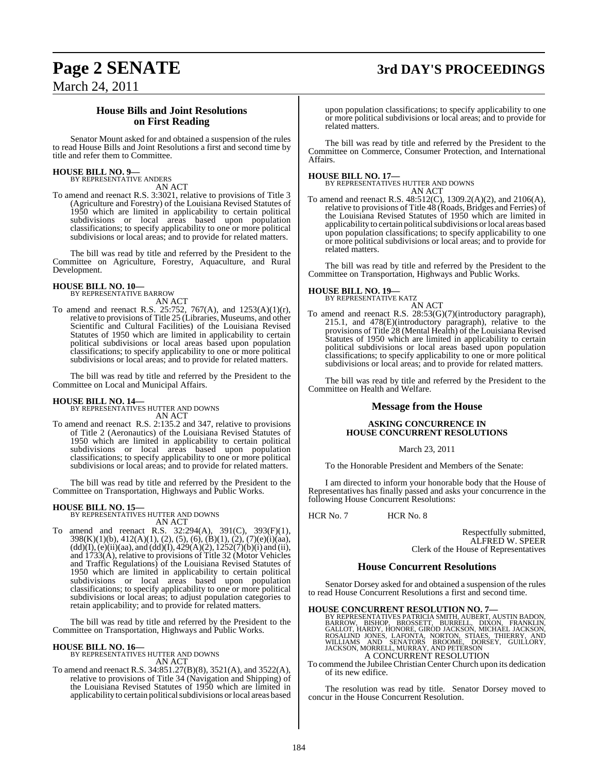## **Page 2 SENATE 3rd DAY'S PROCEEDINGS**

March 24, 2011

### **House Bills and Joint Resolutions on First Reading**

Senator Mount asked for and obtained a suspension of the rules to read House Bills and Joint Resolutions a first and second time by title and refer them to Committee.

#### **HOUSE BILL NO. 9—** BY REPRESENTATIVE ANDERS

AN ACT

To amend and reenact R.S. 3:3021, relative to provisions of Title 3 (Agriculture and Forestry) of the Louisiana Revised Statutes of 1950 which are limited in applicability to certain political subdivisions or local areas based upon population classifications; to specify applicability to one or more political subdivisions or local areas; and to provide for related matters.

The bill was read by title and referred by the President to the Committee on Agriculture, Forestry, Aquaculture, and Rural Development.

#### **HOUSE BILL NO. 10—** BY REPRESENTATIVE BARROW

AN ACT

To amend and reenact R.S. 25:752, 767(A), and 1253(A)(1)(r), relative to provisions of Title 25 (Libraries, Museums, and other Scientific and Cultural Facilities) of the Louisiana Revised Statutes of 1950 which are limited in applicability to certain political subdivisions or local areas based upon population classifications; to specify applicability to one or more political subdivisions or local areas; and to provide for related matters.

The bill was read by title and referred by the President to the Committee on Local and Municipal Affairs.

**HOUSE BILL NO. 14—** BY REPRESENTATIVES HUTTER AND DOWNS AN ACT

To amend and reenact R.S. 2:135.2 and 347, relative to provisions of Title 2 (Aeronautics) of the Louisiana Revised Statutes of 1950 which are limited in applicability to certain political subdivisions or local areas based upon population classifications; to specify applicability to one or more political subdivisions or local areas; and to provide for related matters.

The bill was read by title and referred by the President to the Committee on Transportation, Highways and Public Works.

#### **HOUSE BILL NO. 15—**

BY REPRESENTATIVES HUTTER AND DOWNS AN ACT

To amend and reenact R.S. 32:294(A), 391(C), 393(F)(1), 398(K)(1)(b), 412(A)(1), (2), (5), (6), (B)(1), (2), (7)(e)(i)(aa),  $(dd)(I), (e)(ii)(aa), and (dd)(I), 429(A)(2), 1252(7)(b)(i)$  and (ii), and 1733(A), relative to provisions of Title 32 (Motor Vehicles and Traffic Regulations) of the Louisiana Revised Statutes of 1950 which are limited in applicability to certain political subdivisions or local areas based upon population classifications; to specify applicability to one or more political subdivisions or local areas; to adjust population categories to retain applicability; and to provide for related matters.

The bill was read by title and referred by the President to the Committee on Transportation, Highways and Public Works.

#### **HOUSE BILL NO. 16—**

BY REPRESENTATIVES HUTTER AND DOWNS AN ACT

To amend and reenact R.S. 34:851.27(B)(8), 3521(A), and 3522(A), relative to provisions of Title 34 (Navigation and Shipping) of the Louisiana Revised Statutes of 1950 which are limited in applicability to certain political subdivisions or local areas based

upon population classifications; to specify applicability to one or more political subdivisions or local areas; and to provide for related matters.

The bill was read by title and referred by the President to the Committee on Commerce, Consumer Protection, and International Affairs.

**HOUSE BILL NO. 17—** BY REPRESENTATIVES HUTTER AND DOWNS AN ACT

To amend and reenact R.S. 48:512(C), 1309.2(A)(2), and 2106(A), relative to provisions of Title 48 (Roads, Bridges and Ferries) of the Louisiana Revised Statutes of 1950 which are limited in applicability to certain political subdivisions or local areas based upon population classifications; to specify applicability to one or more political subdivisions or local areas; and to provide for related matters.

The bill was read by title and referred by the President to the Committee on Transportation, Highways and Public Works.

#### **HOUSE BILL NO. 19—**

BY REPRESENTATIVE KATZ

AN ACT To amend and reenact R.S. 28:53(G)(7)(introductory paragraph), 215.1, and 478(E)(introductory paragraph), relative to the provisions of Title 28 (Mental Health) of the Louisiana Revised Statutes of 1950 which are limited in applicability to certain political subdivisions or local areas based upon population classifications; to specify applicability to one or more political subdivisions or local areas; and to provide for related matters.

The bill was read by title and referred by the President to the Committee on Health and Welfare.

#### **Message from the House**

#### **ASKING CONCURRENCE IN HOUSE CONCURRENT RESOLUTIONS**

#### March 23, 2011

To the Honorable President and Members of the Senate:

I am directed to inform your honorable body that the House of Representatives has finally passed and asks your concurrence in the following House Concurrent Resolutions:

HCR No. 7 HCR No. 8

Respectfully submitted, ALFRED W. SPEER Clerk of the House of Representatives

#### **House Concurrent Resolutions**

Senator Dorsey asked for and obtained a suspension of the rules to read House Concurrent Resolutions a first and second time.

**HOUSE CONCURRENT RESOLUTION NO. 7—**<br>BY REPRESENTATIVES PATRICIA SMITH, AUBERT, AUSTIN BADON, BARROW, BISHOP, BROSSETT, BURRELL, DIXON, FRANKLIN,<br>GALLOT, HARDY, HONORE, GIROD JACKSON, MICHAEL JACKSON,<br>ROSALIND JONES, LAFON A CONCURRENT RESOLUTION

To commend the Jubilee Christian Center Church upon its dedication of its new edifice.

The resolution was read by title. Senator Dorsey moved to concur in the House Concurrent Resolution.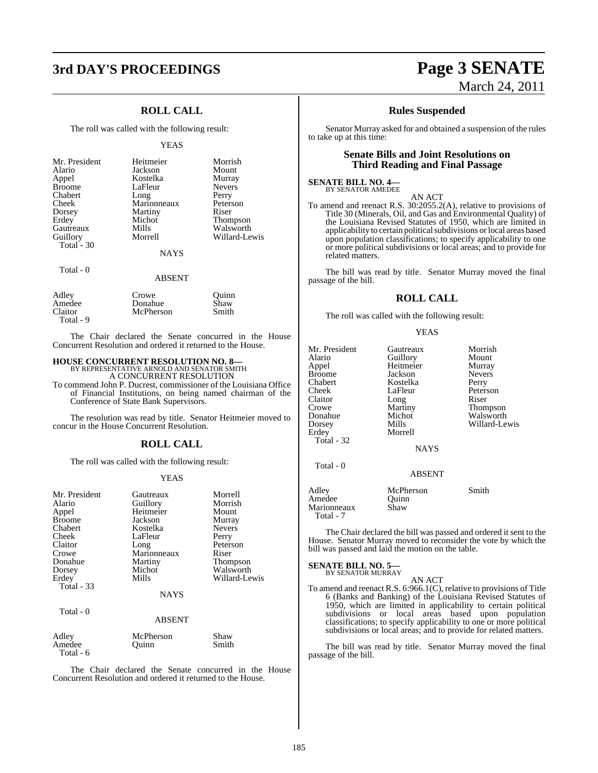# **3rd DAY'S PROCEEDINGS Page 3 SENATE**

### **ROLL CALL**

The roll was called with the following result:

#### YEAS

| Mr. President | Heitmeier   | Morrish       |
|---------------|-------------|---------------|
| Alario        | Jackson     | Mount         |
| Appel         | Kostelka    | Murray        |
| <b>Broome</b> | LaFleur     | <b>Nevers</b> |
| Chabert       | Long        | Perry         |
| Cheek         | Marionneaux | Peterson      |
| Dorsey        | Martiny     | Riser         |
| Erdey         | Michot      | Thompson      |
| Gautreaux     | Mills       | Walsworth     |
| Guillory      | Morrell     | Willard-Lewis |
| Total - 30    |             |               |
|               | <b>NAYS</b> |               |
| Total - 0     |             |               |

#### ABSENT

| Adley     | Crowe     | Ouinn |
|-----------|-----------|-------|
| Amedee    | Donahue   | Shaw  |
| Claitor   | McPherson | Smith |
| Total - 9 |           |       |

The Chair declared the Senate concurred in the House Concurrent Resolution and ordered it returned to the House.

## **HOUSE CONCURRENT RESOLUTION NO. 8—** BY REPRESENTATIVE ARNOLD AND SENATOR SMITH

A CONCURRENT RESOLUTION

To commend John P. Ducrest, commissioner of the Louisiana Office of Financial Institutions, on being named chairman of the Conference of State Bank Supervisors.

The resolution was read by title. Senator Heitmeier moved to concur in the House Concurrent Resolution.

#### **ROLL CALL**

The roll was called with the following result:

#### YEAS

| Mr. President     | Gautreaux   | Morrell         |
|-------------------|-------------|-----------------|
| Alario            | Guillory    | Morrish         |
|                   |             |                 |
| Appel             | Heitmeier   | Mount           |
| <b>Broome</b>     | Jackson     | Murray          |
| Chabert           | Kostelka    | <b>Nevers</b>   |
| Cheek             | LaFleur     | Perry           |
| Claitor           | Long        | Peterson        |
| Crowe             | Marionneaux | Riser           |
| Donahue           | Martiny     | <b>Thompson</b> |
| Dorsey            | Michot      | Walsworth       |
| Erdey             | Mills       | Willard-Lewis   |
| <b>Total - 33</b> |             |                 |
|                   | <b>NAYS</b> |                 |
| Total - 0         |             |                 |
|                   | ABSENT      |                 |

| Adley     | McPherson | Shaw  |
|-----------|-----------|-------|
| Amedee    | Ouinn     | Smith |
| Total - 6 |           |       |

The Chair declared the Senate concurred in the House Concurrent Resolution and ordered it returned to the House.

# March 24, 2011

#### **Rules Suspended**

Senator Murray asked for and obtained a suspension of the rules to take up at this time:

#### **Senate Bills and Joint Resolutions on Third Reading and Final Passage**

**SENATE BILL NO. 4—** BY SENATOR AMEDEE

#### AN ACT

To amend and reenact R.S. 30:2055.2(A), relative to provisions of Title 30 (Minerals, Oil, and Gas and Environmental Quality) of the Louisiana Revised Statutes of 1950, which are limited in applicability to certain political subdivisions or local areas based upon population classifications; to specify applicability to one or more political subdivisions or local areas; and to provide for related matters.

The bill was read by title. Senator Murray moved the final passage of the bill.

#### **ROLL CALL**

The roll was called with the following result:

#### YEAS

| Mr. President<br>Alario<br>Appel<br>Broome<br>Chabert<br>Cheek<br>Claitor<br>Crowe<br>Donahue<br>Dorsey<br>Erdev<br>Total - 32<br>Total - 0 | Gautreaux<br>Guillory<br>Heitmeier<br>Jackson<br>Kostelka<br>LaFleur<br>Long<br>Martiny<br>Michot<br>Mills<br>Morrell<br><b>NAYS</b> | Morrish<br>Mount<br>Murray<br><b>Nevers</b><br>Perry<br>Peterson<br>Riser<br>Thompson<br>Walsworth<br>Willard-Lewis |
|---------------------------------------------------------------------------------------------------------------------------------------------|--------------------------------------------------------------------------------------------------------------------------------------|---------------------------------------------------------------------------------------------------------------------|
|                                                                                                                                             | <b>ABSENT</b>                                                                                                                        |                                                                                                                     |
| Adley<br>Amedee<br>Marionneaux<br>Total - 7                                                                                                 | McPherson<br>Quinn<br>Shaw                                                                                                           | Smith                                                                                                               |

The Chair declared the bill was passed and ordered it sent to the House. Senator Murray moved to reconsider the vote by which the bill was passed and laid the motion on the table.

## **SENATE BILL NO. 5—** BY SENATOR MURRAY

AN ACT To amend and reenact R.S. 6:966.1(C), relative to provisions of Title 6 (Banks and Banking) of the Louisiana Revised Statutes of 1950, which are limited in applicability to certain political subdivisions or local areas based upon population classifications; to specify applicability to one or more political subdivisions or local areas; and to provide for related matters.

The bill was read by title. Senator Murray moved the final passage of the bill.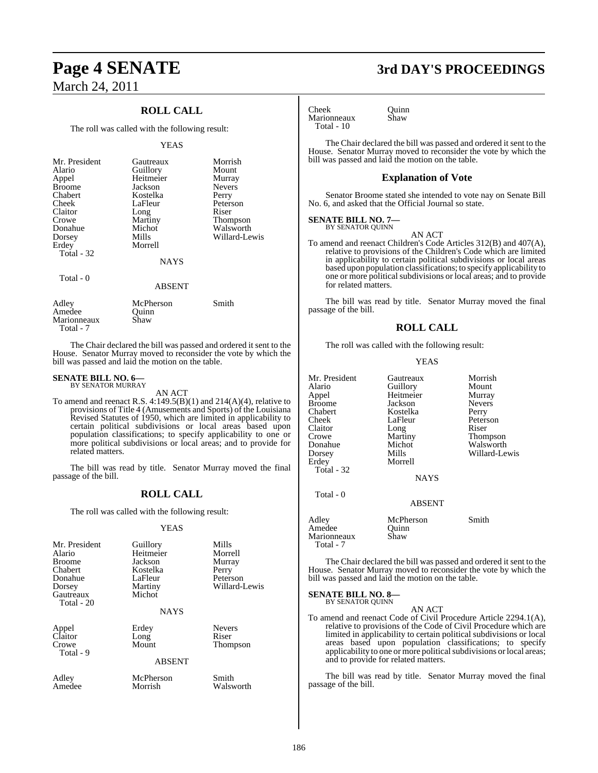## **ROLL CALL**

The roll was called with the following result:

#### YEAS

| Mr. President<br>Alario<br>Appel<br><b>Broome</b><br>Chabert<br>Cheek<br>Claitor<br>Crowe<br>Donahue<br>Dorsey<br>Erdey<br>Total - 32 | Gautreaux<br>Guillory<br>Heitmeier<br>Jackson<br>Kostelka<br>LaFleur<br>Long<br>Martiny<br>Michot<br>Mills<br>Morrell<br><b>NAYS</b> | Morrish<br>Mount<br>Murray<br><b>Nevers</b><br>Perry<br>Peterson<br>Riser<br>Thompson<br>Walsworth<br>Willard-Lewis |
|---------------------------------------------------------------------------------------------------------------------------------------|--------------------------------------------------------------------------------------------------------------------------------------|---------------------------------------------------------------------------------------------------------------------|
| Total - 0                                                                                                                             | <b>ABSENT</b>                                                                                                                        |                                                                                                                     |
| Adley<br>Amedee<br>Marionneaux                                                                                                        | McPherson<br>Ouinn<br>Shaw                                                                                                           | Smith                                                                                                               |

The Chair declared the bill was passed and ordered it sent to the House. Senator Murray moved to reconsider the vote by which the bill was passed and laid the motion on the table.

#### **SENATE BILL NO. 6—** BY SENATOR MURRAY

Total - 7

AN ACT

To amend and reenact R.S.  $4:149.5(B)(1)$  and  $214(A)(4)$ , relative to provisions of Title 4 (Amusements and Sports) of the Louisiana Revised Statutes of 1950, which are limited in applicability to certain political subdivisions or local areas based upon population classifications; to specify applicability to one or more political subdivisions or local areas; and to provide for related matters.

The bill was read by title. Senator Murray moved the final passage of the bill.

#### **ROLL CALL**

The roll was called with the following result:

#### YEAS

| Mr. President<br>Alario<br><b>Broome</b><br>Chabert<br>Donahue | Guillory<br>Heitmeier<br>Jackson<br>Kostelka<br>LaFleur<br>Martiny | Mills<br>Morrell<br>Murray<br>Perry<br>Peterson<br>Willard-Lewis |
|----------------------------------------------------------------|--------------------------------------------------------------------|------------------------------------------------------------------|
| Dorsey<br>Gautreaux<br>Total - 20                              | Michot<br><b>NAYS</b>                                              |                                                                  |
| Appel<br>Claitor<br>Crowe<br>Total - 9                         | Erdey<br>Long<br>Mount                                             | <b>Nevers</b><br>Riser<br><b>Thompson</b>                        |
|                                                                | <b>ABSENT</b>                                                      |                                                                  |
| Adley                                                          | McPherson                                                          | Smith                                                            |

Amedee Morrish Walsworth

## **Page 4 SENATE 3rd DAY'S PROCEEDINGS**

Cheek Quinn<br>
Marionneaux Shaw Marionneaux Total - 10

The Chair declared the bill was passed and ordered it sent to the House. Senator Murray moved to reconsider the vote by which the bill was passed and laid the motion on the table.

#### **Explanation of Vote**

Senator Broome stated she intended to vote nay on Senate Bill No. 6, and asked that the Official Journal so state.

## **SENATE BILL NO. 7—**<br>BY SENATOR QUINN

AN ACT

To amend and reenact Children's Code Articles 312(B) and 407(A), relative to provisions of the Children's Code which are limited in applicability to certain political subdivisions or local areas based upon population classifications; to specify applicability to one or more political subdivisions or local areas; and to provide for related matters.

The bill was read by title. Senator Murray moved the final passage of the bill.

#### **ROLL CALL**

The roll was called with the following result:

#### YEAS

| Mr. President | Gautreaux   | Morrish         |
|---------------|-------------|-----------------|
| Alario        | Guillory    | Mount           |
| Appel         | Heitmeier   | Murray          |
| <b>Broome</b> | Jackson     | <b>Nevers</b>   |
| Chabert       | Kostelka    | Perry           |
| Cheek         | LaFleur     | Peterson        |
| Claitor       | Long        | Riser           |
| Crowe         | Martiny     | <b>Thompson</b> |
| Donahue       | Michot      | Walsworth       |
| Dorsey        | Mills       | Willard-Lewis   |
| Erdey         | Morrell     |                 |
| Total - 32    |             |                 |
|               | <b>NAYS</b> |                 |
| Total - 0     |             |                 |

Adley McPherson Smith<br>Amedee Quinn Amedee Quinn<br>Marionneaux Shaw Marionneaux Total - 7

The Chair declared the bill was passed and ordered it sent to the House. Senator Murray moved to reconsider the vote by which the bill was passed and laid the motion on the table.

ABSENT

#### **SENATE BILL NO. 8—** BY SENATOR QUINN

AN ACT

To amend and reenact Code of Civil Procedure Article 2294.1(A), relative to provisions of the Code of Civil Procedure which are limited in applicability to certain political subdivisions or local areas based upon population classifications; to specify applicability to one or more political subdivisions or local areas; and to provide for related matters.

The bill was read by title. Senator Murray moved the final passage of the bill.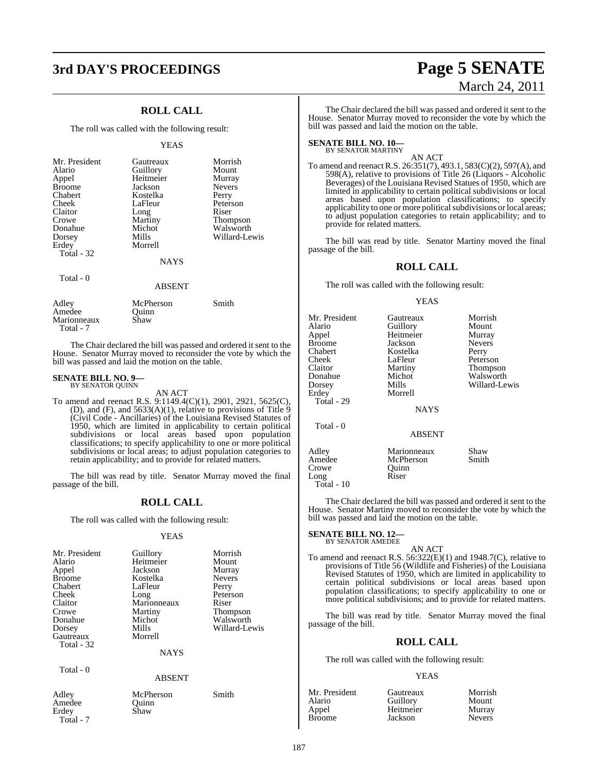# **3rd DAY'S PROCEEDINGS Page 5 SENATE**

### **ROLL CALL**

The roll was called with the following result:

#### YEAS

| Mr. President<br>Alario<br>Appel<br><b>Broome</b><br>Chabert<br>Cheek<br>Claitor<br>Crowe<br>Donahue<br>Dorsey<br>Erdey<br>Total - 32 | Gautreaux<br>Guillory<br>Heitmeier<br>Jackson<br>Kostelka<br>LaFleur<br>Long<br>Martiny<br>Michot<br>Mills<br>Morrell<br><b>NAYS</b> | Morrish<br>Mount<br>Murray<br><b>Nevers</b><br>Perry<br>Peterson<br>Riser<br>Thompson<br>Walsworth<br>Willard-Lewis |
|---------------------------------------------------------------------------------------------------------------------------------------|--------------------------------------------------------------------------------------------------------------------------------------|---------------------------------------------------------------------------------------------------------------------|
| Total $-0$                                                                                                                            | <b>ABSENT</b>                                                                                                                        |                                                                                                                     |

| Adley       | McPherson | Smith |
|-------------|-----------|-------|
| Amedee      | Ouinn     |       |
| Marionneaux | Shaw      |       |
| Total - 7   |           |       |

The Chair declared the bill was passed and ordered it sent to the House. Senator Murray moved to reconsider the vote by which the bill was passed and laid the motion on the table.

#### **SENATE BILL NO. 9—** BY SENATOR QUINN

#### AN ACT

To amend and reenact R.S. 9:1149.4(C)(1), 2901, 2921, 5625(C), (D), and  $(F)$ , and  $5633(A)(1)$ , relative to provisions of Title  $9$ (Civil Code - Ancillaries) of the Louisiana Revised Statutes of 1950, which are limited in applicability to certain political subdivisions or local areas based upon population classifications; to specify applicability to one or more political subdivisions or local areas; to adjust population categories to retain applicability; and to provide for related matters.

The bill was read by title. Senator Murray moved the final passage of the bill.

#### **ROLL CALL**

The roll was called with the following result:

#### YEAS

| Mr. President | Guillory    | Morrish       |
|---------------|-------------|---------------|
| Alario        | Heitmeier   | Mount         |
| Appel         | Jackson     | Murray        |
| <b>Broome</b> | Kostelka    | <b>Nevers</b> |
| Chabert       | LaFleur     | Perry         |
| Cheek         | Long        | Peterson      |
| Claitor       | Marionneaux | Riser         |
| Crowe         | Martiny     | Thompson      |
| Donahue       | Michot      | Walsworth     |
| Dorsey        | Mills       | Willard-Lewis |
| Gautreaux     | Morrell     |               |
| Total - 32    |             |               |
|               | <b>NAYS</b> |               |
| Total - 0     |             |               |

#### ABSENT

| Adley     |
|-----------|
| Amedee    |
| Erdey     |
| Total - 7 |

McPherson Smith Quinn Shaw

# March 24, 2011

The Chair declared the bill was passed and ordered it sent to the House. Senator Murray moved to reconsider the vote by which the bill was passed and laid the motion on the table.

## **SENATE BILL NO. 10—** BY SENATOR MARTINY

AN ACT

To amend and reenact R.S. 26:351(7), 493.1, 583(C)(2), 597(A), and 598(A), relative to provisions of Title 26 (Liquors - Alcoholic Beverages) of the Louisiana Revised Statues of 1950, which are limited in applicability to certain political subdivisions or local areas based upon population classifications; to specify applicability to one or more political subdivisions or local areas; to adjust population categories to retain applicability; and to provide for related matters.

The bill was read by title. Senator Martiny moved the final passage of the bill.

#### **ROLL CALL**

The roll was called with the following result:

#### YEAS

| Mr. President<br>Alario<br>Appel<br>Broome<br>Chabert<br>Cheek<br>Claitor<br>Donahue<br>Dorsey<br>Erdey<br>Total - 29 | Gautreaux<br>Guillory<br>Heitmeier<br>Jackson<br>Kostelka<br>LaFleur<br>Martiny<br>Michot<br>Mills<br>Morrell<br><b>NAYS</b> | Morrish<br>Mount<br>Murray<br><b>Nevers</b><br>Perry<br>Peterson<br><b>Thompson</b><br>Walsworth<br>Willard-Lewis |
|-----------------------------------------------------------------------------------------------------------------------|------------------------------------------------------------------------------------------------------------------------------|-------------------------------------------------------------------------------------------------------------------|
| Total - 0                                                                                                             | <b>ABSENT</b>                                                                                                                |                                                                                                                   |
| Adley<br>Amedee<br>Crowe<br>Long<br>Total - 10                                                                        | Marionneaux<br>McPherson<br>Ouinn<br>Riser                                                                                   | Shaw<br>Smith                                                                                                     |

The Chair declared the bill was passed and ordered it sent to the House. Senator Martiny moved to reconsider the vote by which the bill was passed and laid the motion on the table.

#### **SENATE BILL NO. 12—**

## BY SENATOR AMEDEE

AN ACT To amend and reenact R.S. 56:322(E)(1) and 1948.7(C), relative to provisions of Title 56 (Wildlife and Fisheries) of the Louisiana Revised Statutes of 1950, which are limited in applicability to certain political subdivisions or local areas based upon population classifications; to specify applicability to one or more political subdivisions; and to provide for related matters.

The bill was read by title. Senator Murray moved the final passage of the bill.

#### **ROLL CALL**

The roll was called with the following result:

#### **YEAS**

| Mr. President | Gautreaux | Morrish       |
|---------------|-----------|---------------|
| Alario        | Guillory  | Mount         |
| Appel         | Heitmeier | Murray        |
| Broome        | Jackson   | <b>Nevers</b> |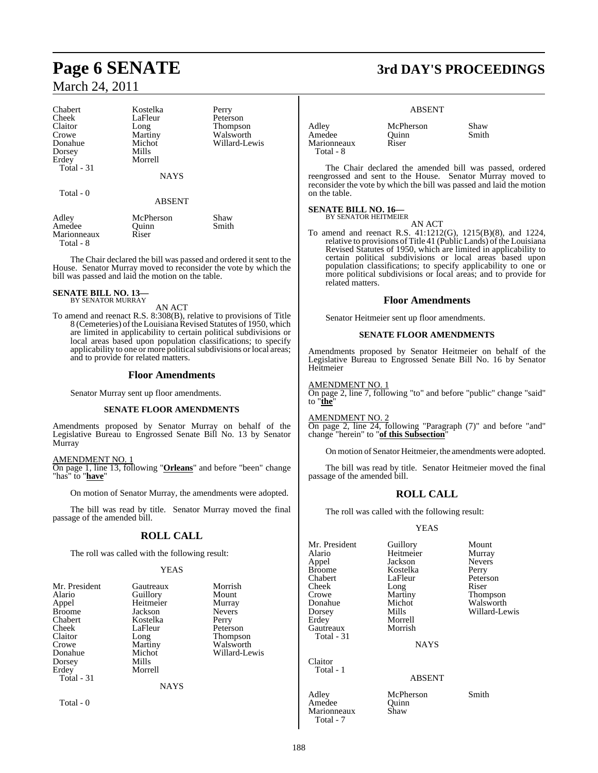| Chabert    | Kostelka      | Perry           |
|------------|---------------|-----------------|
| Cheek      | LaFleur       | Peterson        |
| Claitor    | Long          | <b>Thompson</b> |
| Crowe      | Martiny       | Walsworth       |
| Donahue    | Michot        | Willard-Lewis   |
| Dorsey     | Mills         |                 |
| Erdey      | Morrell       |                 |
| Total - 31 |               |                 |
|            | <b>NAYS</b>   |                 |
| Total - 0  |               |                 |
|            | <b>ABSENT</b> |                 |
| Adley      | McPherson     | Shaw            |
| Amedee     | Ouinn         | Smith           |

Marionneaux Riser Total - 8

The Chair declared the bill was passed and ordered it sent to the House. Senator Murray moved to reconsider the vote by which the bill was passed and laid the motion on the table.

## **SENATE BILL NO. 13—** BY SENATOR MURRAY

AN ACT

To amend and reenact R.S. 8:308(B), relative to provisions of Title 8 (Cemeteries) of the Louisiana Revised Statutes of 1950, which are limited in applicability to certain political subdivisions or local areas based upon population classifications; to specify applicability to one or more political subdivisions or local areas; and to provide for related matters.

#### **Floor Amendments**

Senator Murray sent up floor amendments.

#### **SENATE FLOOR AMENDMENTS**

Amendments proposed by Senator Murray on behalf of the Legislative Bureau to Engrossed Senate Bill No. 13 by Senator Murray

AMENDMENT NO. 1

On page 1, line 13, following "**Orleans**" and before "been" change "has" to "**have**"

On motion of Senator Murray, the amendments were adopted.

The bill was read by title. Senator Murray moved the final passage of the amended bill.

#### **ROLL CALL**

The roll was called with the following result:

#### YEAS

| Mr. President<br>Alario<br>Appel<br><b>Broome</b><br>Chabert<br>Cheek<br>Claitor<br>Crowe<br>Donahue<br>Dorsey<br>Erdey<br>Total $-31$ | Gautreaux<br>Guillory<br>Heitmeier<br>Jackson<br>Kostelka<br>LaFleur<br>Long<br>Martiny<br>Michot<br>Mills<br>Morrell<br><b>NAYS</b> | Morrish<br>Mount<br>Murray<br><b>Nevers</b><br>Perry<br>Peterson<br><b>Thompson</b><br>Walsworth<br>Willard-Lewis |
|----------------------------------------------------------------------------------------------------------------------------------------|--------------------------------------------------------------------------------------------------------------------------------------|-------------------------------------------------------------------------------------------------------------------|
| Total $-0$                                                                                                                             |                                                                                                                                      |                                                                                                                   |

## **Page 6 SENATE 3rd DAY'S PROCEEDINGS**

#### ABSENT

Adley **McPherson** Shaw<br>Amedee Ouinn Smith Amedee Quinn<br>Marionneaux Riser Marionneaux Total - 8

The Chair declared the amended bill was passed, ordered reengrossed and sent to the House. Senator Murray moved to reconsider the vote by which the bill was passed and laid the motion on the table.

## **SENATE BILL NO. 16—** BY SENATOR HEITMEIER

AN ACT

To amend and reenact R.S. 41:1212(G), 1215(B)(8), and 1224, relative to provisions of Title 41 (Public Lands) of the Louisiana Revised Statutes of 1950, which are limited in applicability to certain political subdivisions or local areas based upon population classifications; to specify applicability to one or more political subdivisions or local areas; and to provide for related matters.

#### **Floor Amendments**

Senator Heitmeier sent up floor amendments.

#### **SENATE FLOOR AMENDMENTS**

Amendments proposed by Senator Heitmeier on behalf of the Legislative Bureau to Engrossed Senate Bill No. 16 by Senator Heitmeier

#### AMENDMENT NO. 1

On page 2, line 7, following "to" and before "public" change "said" to "**the**"

#### AMENDMENT NO. 2

On page 2, line 24, following "Paragraph (7)" and before "and" change "herein" to "**of this Subsection**"

On motion of Senator Heitmeier, the amendmentswere adopted.

The bill was read by title. Senator Heitmeier moved the final passage of the amended bill.

#### **ROLL CALL**

The roll was called with the following result:

#### YEAS

| Mr. President     | Guillory    | Mount         |
|-------------------|-------------|---------------|
| Alario            | Heitmeier   | Murray        |
| Appel             | Jackson     | <b>Nevers</b> |
| <b>Broome</b>     | Kostelka    | Perry         |
| Chabert           | LaFleur     | Peterson      |
| Cheek             | Long        | Riser         |
| Crowe             | Martiny     | Thompson      |
| Donahue           | Michot      | Walsworth     |
| Dorsey            | Mills       | Willard-Le    |
| Erdey             | Morrell     |               |
| Gautreaux         | Morrish     |               |
| <b>Total - 31</b> |             |               |
|                   | <b>NAYS</b> |               |
| Claitor           |             |               |
| Total - 1         |             |               |
|                   |             |               |

Willard-Lewis

#### ABSENT

Adley McPherson Smith<br>Amedee Quinn Amedee Quinn<br>Marionneaux Shaw

Marionneaux Total - 7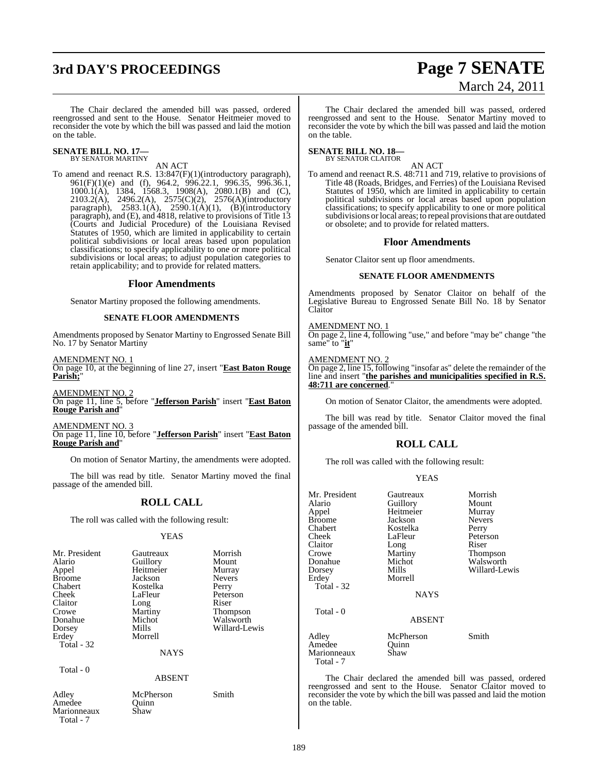## **3rd DAY'S PROCEEDINGS Page 7 SENATE**

# March 24, 2011

The Chair declared the amended bill was passed, ordered reengrossed and sent to the House. Senator Heitmeier moved to reconsider the vote by which the bill was passed and laid the motion on the table.

#### **SENATE BILL NO. 17—** BY SENATOR MARTINY

#### AN ACT

To amend and reenact R.S. 13:847(F)(1)(introductory paragraph), 961(F)(1)(e) and (f), 964.2, 996.22.1, 996.35, 996.36.1, 1000.1(A), 1384, 1568.3, 1908(A), 2080.1(B) and (C), 2103.2(A), 2496.2(A), 2575(C)(2), 2576(A)(introductory paragraph),  $2583.1(A)$ ,  $2590.1(A)(1)$ ,  $(B)(introducing)$ paragraph), and (E), and 4818, relative to provisions of Title 13 (Courts and Judicial Procedure) of the Louisiana Revised Statutes of 1950, which are limited in applicability to certain political subdivisions or local areas based upon population classifications; to specify applicability to one or more political subdivisions or local areas; to adjust population categories to retain applicability; and to provide for related matters.

#### **Floor Amendments**

Senator Martiny proposed the following amendments.

#### **SENATE FLOOR AMENDMENTS**

Amendments proposed by Senator Martiny to Engrossed Senate Bill No. 17 by Senator Martiny

AMENDMENT NO. 1 On page 10, at the beginning of line 27, insert "**East Baton Rouge Parish;**"

AMENDMENT NO. 2 On page 11, line 5, before "**Jefferson Parish**" insert "**East Baton Rouge Parish and**"

AMENDMENT NO. 3 On page 11, line 10, before "**Jefferson Parish**" insert "**East Baton Rouge Parish and**"

On motion of Senator Martiny, the amendments were adopted.

The bill was read by title. Senator Martiny moved the final passage of the amended bill.

#### **ROLL CALL**

The roll was called with the following result:

#### YEAS

| Mr. President<br>Alario<br>Appel<br><b>Broome</b><br>Chabert<br>Cheek<br>Claitor<br>Crowe<br>Donahue<br>Dorsey<br>Erdey<br><b>Total - 32</b> | Gautreaux<br>Guillory<br>Heitmeier<br>Jackson<br>Kostelka<br>LaFleur<br>Long<br>Martiny<br>Michot<br>Mills<br>Morrell<br><b>NAYS</b> | Morrish<br>Mount<br>Murray<br><b>Nevers</b><br>Perry<br>Peterson<br>Riser<br>Thompson<br>Walsworth<br>Willard-Lewis |
|----------------------------------------------------------------------------------------------------------------------------------------------|--------------------------------------------------------------------------------------------------------------------------------------|---------------------------------------------------------------------------------------------------------------------|
|                                                                                                                                              |                                                                                                                                      |                                                                                                                     |
| Total $-0$                                                                                                                                   | <b>ABSENT</b>                                                                                                                        |                                                                                                                     |

Adley McPherson Smith<br>Amedee Ouinn Amedee Marionneaux Shaw Total - 7

The Chair declared the amended bill was passed, ordered reengrossed and sent to the House. Senator Martiny moved to reconsider the vote by which the bill was passed and laid the motion on the table.

#### **SENATE BILL NO. 18—** BY SENATOR CLAITOR

AN ACT

To amend and reenact R.S. 48:711 and 719, relative to provisions of Title 48 (Roads, Bridges, and Ferries) of the Louisiana Revised Statutes of 1950, which are limited in applicability to certain political subdivisions or local areas based upon population classifications; to specify applicability to one or more political subdivisions or local areas; to repeal provisions that are outdated or obsolete; and to provide for related matters.

#### **Floor Amendments**

Senator Claitor sent up floor amendments.

#### **SENATE FLOOR AMENDMENTS**

Amendments proposed by Senator Claitor on behalf of the Legislative Bureau to Engrossed Senate Bill No. 18 by Senator Claitor

#### AMENDMENT NO. 1

On page 2, line 4, following "use," and before "may be" change "the same" to "**it**"

#### AMENDMENT NO. 2

On page 2, line 15, following "insofar as" delete the remainder of the line and insert "**the parishes and municipalities specified in R.S. 48:711 are concerned**."

On motion of Senator Claitor, the amendments were adopted.

The bill was read by title. Senator Claitor moved the final passage of the amended bill.

#### **ROLL CALL**

The roll was called with the following result:

#### YEAS

| Mr. President<br>Alario<br>Appel<br><b>Broome</b><br>Chabert<br>Cheek<br>Claitor<br>Crowe<br>Donahue<br>Dorsey<br>Erdey<br>Total - 32<br>Total - 0 | Gautreaux<br>Guillory<br>Heitmeier<br>Jackson<br>Kostelka<br>LaFleur<br>Long<br>Martiny<br>Michot<br>Mills<br>Morrell<br><b>NAYS</b> | Morrish<br>Mount<br>Murray<br><b>Nevers</b><br>Perry<br>Peterson<br>Riser<br>Thompson<br>Walsworth<br>Willard-Lewis |
|----------------------------------------------------------------------------------------------------------------------------------------------------|--------------------------------------------------------------------------------------------------------------------------------------|---------------------------------------------------------------------------------------------------------------------|
|                                                                                                                                                    | <b>ABSENT</b>                                                                                                                        |                                                                                                                     |
| Adley<br>Amedee<br>Marionneaux<br>Total - 7                                                                                                        | McPherson<br>Quinn<br>Shaw                                                                                                           | Smith                                                                                                               |

The Chair declared the amended bill was passed, ordered reengrossed and sent to the House. Senator Claitor moved to reconsider the vote by which the bill was passed and laid the motion on the table.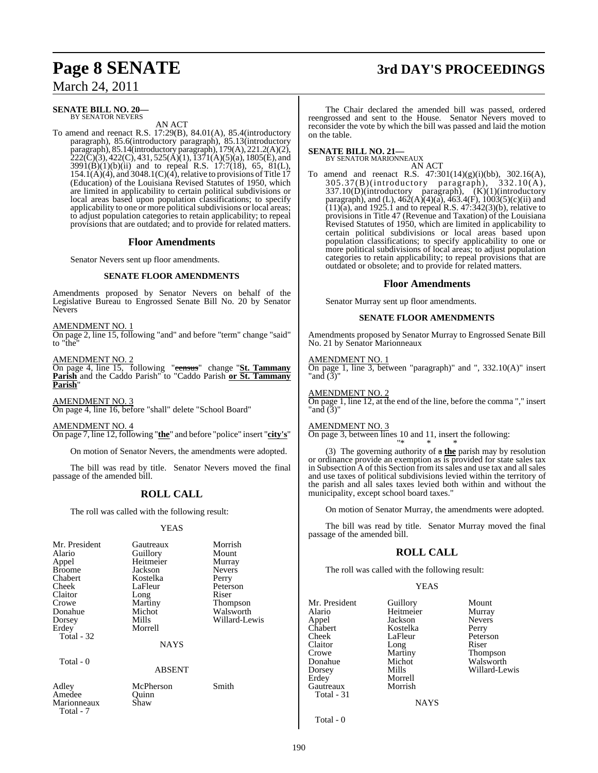# **Page 8 SENATE 3rd DAY'S PROCEEDINGS**

March 24, 2011

#### **SENATE BILL NO. 20—** BY SENATOR NEVERS

AN ACT

To amend and reenact R.S. 17:29(B), 84.01(A), 85.4(introductory paragraph), 85.6(introductory paragraph), 85.13(introductory paragraph), 85.14(introductory paragraph), 179(A), 221.2(A)(2),  $222(\text{C})(3)$ , 422(C), 431, 525(Å)(1), 1371(A)(5)(a), 1805(E), and 3991(B)(1)(b)(ii) and to repeal R.S. 17:7(18), 65, 81(L),  $154.1(A)(4)$ , and  $3048.1(C)(4)$ , relative to provisions of Title 17 (Education) of the Louisiana Revised Statutes of 1950, which are limited in applicability to certain political subdivisions or local areas based upon population classifications; to specify applicability to one or more political subdivisions or local areas; to adjust population categories to retain applicability; to repeal provisions that are outdated; and to provide for related matters.

#### **Floor Amendments**

Senator Nevers sent up floor amendments.

#### **SENATE FLOOR AMENDMENTS**

Amendments proposed by Senator Nevers on behalf of the Legislative Bureau to Engrossed Senate Bill No. 20 by Senator Nevers

#### AMENDMENT NO. 1

On page 2, line 15, following "and" and before "term" change "said" to "the"

#### AMENDMENT NO. 2

On page 4, line 15, following "census" change "**St. Tammany Parish** and the Caddo Parish" to "Caddo Parish **or St. Tammany Parish**"

AMENDMENT NO. 3 On page 4, line 16, before "shall" delete "School Board"

AMENDMENT NO. 4 On page 7, line 12, following "**the**" and before "police" insert "**city's**"

On motion of Senator Nevers, the amendments were adopted.

The bill was read by title. Senator Nevers moved the final passage of the amended bill.

### **ROLL CALL**

The roll was called with the following result:

#### YEAS

| Mr. President<br>Alario<br>Appel<br><b>Broome</b><br>Chabert<br>Cheek<br>Claitor<br>Crowe<br>Donahue<br>Dorsey<br>Erdey<br>Total - 32 | Gautreaux<br>Guillory<br>Heitmeier<br>Jackson<br>Kostelka<br>LaFleur<br>Long<br>Martiny<br>Michot<br>Mills<br>Morrell | Morrish<br>Mount<br>Murray<br><b>Nevers</b><br>Perry<br>Peterson<br>Riser<br>Thompson<br>Walsworth<br>Willard-Lewis |
|---------------------------------------------------------------------------------------------------------------------------------------|-----------------------------------------------------------------------------------------------------------------------|---------------------------------------------------------------------------------------------------------------------|
|                                                                                                                                       | <b>NAYS</b>                                                                                                           |                                                                                                                     |
| Total - 0                                                                                                                             | ABSENT                                                                                                                |                                                                                                                     |
| Adley<br>Amedee<br>Marionneaux<br>Total - 7                                                                                           | McPherson<br>Quinn<br>Shaw                                                                                            | Smith                                                                                                               |

The Chair declared the amended bill was passed, ordered reengrossed and sent to the House. Senator Nevers moved to reconsider the vote by which the bill was passed and laid the motion on the table.

## **SENATE BILL NO. 21—**<br>BY SENATOR MARIONNEAUX

BY SENATOR MARIONNEAUX AN ACT

To amend and reenact R.S. 47:301(14)(g)(i)(bb), 302.16(A), 305.37(B)(introductory paragraph), 332.10(A),  $337.10(D)$ (introductory paragraph),  $(K)(1)$ (introductory paragraph), and (L),  $462(A)(a)$ ,  $463.4(F)$ ,  $1003(5)(c)(ii)$  and  $(11)(a)$ , and 1925.1 and to repeal R.S.  $47:342(3)(b)$ , relative to provisions in Title 47 (Revenue and Taxation) of the Louisiana Revised Statutes of 1950, which are limited in applicability to certain political subdivisions or local areas based upon population classifications; to specify applicability to one or more political subdivisions of local areas; to adjust population categories to retain applicability; to repeal provisions that are outdated or obsolete; and to provide for related matters.

#### **Floor Amendments**

Senator Murray sent up floor amendments.

#### **SENATE FLOOR AMENDMENTS**

Amendments proposed by Senator Murray to Engrossed Senate Bill No. 21 by Senator Marionneaux

#### AMENDMENT NO. 1

On page 1, line 3, between "paragraph)" and ", 332.10(A)" insert "and  $(\bar{3})'$ 

#### AMENDMENT NO. 2

On page 1, line 12, at the end of the line, before the comma "," insert "and (3)"

#### AMENDMENT NO. 3

On page 3, between lines 10 and 11, insert the following: "\* \* \*

(3) The governing authority of a **the** parish may by resolution or ordinance provide an exemption as is provided for state sales tax in Subsection A of this Section from itssales and use tax and allsales and use taxes of political subdivisions levied within the territory of the parish and all sales taxes levied both within and without the municipality, except school board taxes."

On motion of Senator Murray, the amendments were adopted.

The bill was read by title. Senator Murray moved the final passage of the amended bill.

#### **ROLL CALL**

The roll was called with the following result:

Heitmeier

Morrell<br>Morrish

#### YEAS

Mr. President Guillory Mount<br>Alario Heitmeier Murray Appel Jackson Nevers<br>
Chabert Kostelka Perry Chabert Kostelka<br>Cheek LaFleur Cheek LaFleur Peterson<br>Claitor Long Riser Claitor Long Riser Crowe Martiny Thompson<br>
Donahue Michot Walsworth Donahue Michot Walsworth<br>Dorsey Mills Willard-Le Dorsey Mills Willard-Lewis Gautreaux Total - 31

**NAYS** 

Total - 0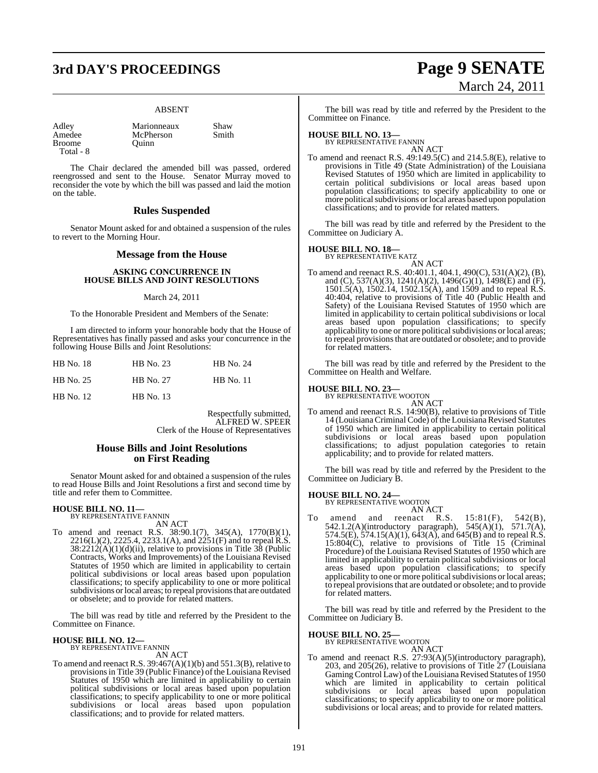# **3rd DAY'S PROCEEDINGS Page 9 SENATE**

#### ABSENT

**Broome** Total - 8

Adley Marionneaux Shaw<br>Amedee McPherson Smith McPherson<br>Quinn

The Chair declared the amended bill was passed, ordered reengrossed and sent to the House. Senator Murray moved to reconsider the vote by which the bill was passed and laid the motion on the table.

#### **Rules Suspended**

Senator Mount asked for and obtained a suspension of the rules to revert to the Morning Hour.

#### **Message from the House**

#### **ASKING CONCURRENCE IN HOUSE BILLS AND JOINT RESOLUTIONS**

#### March 24, 2011

To the Honorable President and Members of the Senate:

I am directed to inform your honorable body that the House of Representatives has finally passed and asks your concurrence in the following House Bills and Joint Resolutions:

| HB No. 18 | HB No. 23   | <b>HB</b> No. 24 |
|-----------|-------------|------------------|
| HB No. 25 | HB No. 27   | <b>HB</b> No. 11 |
| HB No. 12 | $HB$ No. 13 |                  |

Respectfully submitted, ALFRED W. SPEER Clerk of the House of Representatives

#### **House Bills and Joint Resolutions on First Reading**

Senator Mount asked for and obtained a suspension of the rules to read House Bills and Joint Resolutions a first and second time by title and refer them to Committee.

## **HOUSE BILL NO. 11—** BY REPRESENTATIVE FANNIN

AN ACT

To amend and reenact R.S. 38:90.1(7), 345(A), 1770(B)(1),  $2216(L)(2)$ ,  $2225.4$ ,  $2233.1(A)$ , and  $2251(F)$  and to repeal R.S.  $38:2212(A)(1)(d)(ii)$ , relative to provisions in Title 38 (Public Contracts, Works and Improvements) of the Louisiana Revised Statutes of 1950 which are limited in applicability to certain political subdivisions or local areas based upon population classifications; to specify applicability to one or more political subdivisions or local areas; to repeal provisions that are outdated or obselete; and to provide for related matters.

The bill was read by title and referred by the President to the Committee on Finance.

## **HOUSE BILL NO. 12—** BY REPRESENTATIVE FANNIN

AN ACT

To amend and reenact R.S. 39:467(A)(1)(b) and 551.3(B), relative to provisions in Title 39 (Public Finance) of the Louisiana Revised Statutes of 1950 which are limited in applicability to certain political subdivisions or local areas based upon population classifications; to specify applicability to one or more political subdivisions or local areas based upon population classifications; and to provide for related matters.

# March 24, 2011

The bill was read by title and referred by the President to the Committee on Finance.

## **HOUSE BILL NO. 13—** BY REPRESENTATIVE FANNIN

AN ACT To amend and reenact R.S. 49:149.5(C) and 214.5.8(E), relative to provisions in Title 49 (State Administration) of the Louisiana Revised Statutes of 1950 which are limited in applicability to certain political subdivisions or local areas based upon population classifications; to specify applicability to one or more political subdivisions or local areas based upon population classifications; and to provide for related matters.

The bill was read by title and referred by the President to the Committee on Judiciary A.

#### **HOUSE BILL NO. 18—**



To amend and reenact R.S. 40:401.1, 404.1, 490(C), 531(A)(2), (B), and (C), 537(A)(3), 1241(A)(2), 1496(G)(1), 1498(E) and (F), 1501.5(A), 1502.14, 1502.15(A), and 1509 and to repeal R.S. 40:404, relative to provisions of Title 40 (Public Health and Safety) of the Louisiana Revised Statutes of 1950 which are limited in applicability to certain political subdivisions or local areas based upon population classifications; to specify applicability to one or more political subdivisions or local areas; to repeal provisionsthat are outdated or obsolete; and to provide for related matters.

The bill was read by title and referred by the President to the Committee on Health and Welfare.

#### **HOUSE BILL NO. 23—**

BY REPRESENTATIVE WOOTON

AN ACT To amend and reenact R.S. 14:90(B), relative to provisions of Title 14 (Louisiana Criminal Code) of the Louisiana Revised Statutes of 1950 which are limited in applicability to certain political subdivisions or local areas based upon population classifications; to adjust population categories to retain applicability; and to provide for related matters.

The bill was read by title and referred by the President to the Committee on Judiciary B.

## **HOUSE BILL NO. 24—** BY REPRESENTATIVE WOOTON

AN ACT<br>reenact R.S. To amend and reenact R.S.  $15:81(F)$ ,  $542(B)$ , 542.1.2(A)(introductory paragraph), 545(A)(1), 571.7(A), 574.5(E), 574.15(A)(1), 643(A), and 645(B) and to repeal R.S.  $15:80\text{A}(\text{C})$ , relative to provisions of Title 15 (Criminal Procedure) of the Louisiana Revised Statutes of 1950 which are limited in applicability to certain political subdivisions or local areas based upon population classifications; to specify applicability to one or more political subdivisions or local areas; to repeal provisionsthat are outdated or obsolete; and to provide for related matters.

The bill was read by title and referred by the President to the Committee on Judiciary B.

## **HOUSE BILL NO. 25—** BY REPRESENTATIVE WOOTON

AN ACT

To amend and reenact R.S. 27:93(A)(5)(introductory paragraph), 203, and 205(26), relative to provisions of Title 27 (Louisiana Gaming Control Law) of the Louisiana Revised Statutes of 1950 which are limited in applicability to certain political subdivisions or local areas based upon population classifications; to specify applicability to one or more political subdivisions or local areas; and to provide for related matters.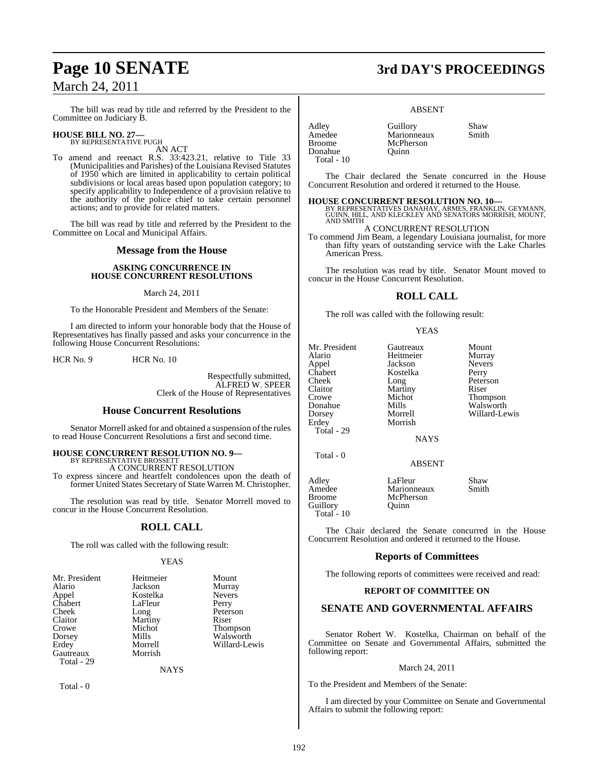The bill was read by title and referred by the President to the Committee on Judiciary B.

## **HOUSE BILL NO. 27—** BY REPRESENTATIVE PUGH

AN ACT

To amend and reenact R.S. 33:423.21, relative to Title 33 (Municipalities and Parishes) of the Louisiana Revised Statutes of 1950 which are limited in applicability to certain political subdivisions or local areas based upon population category; to specify applicability to Independence of a provision relative to the authority of the police chief to take certain personnel actions; and to provide for related matters.

The bill was read by title and referred by the President to the Committee on Local and Municipal Affairs.

#### **Message from the House**

#### **ASKING CONCURRENCE IN HOUSE CONCURRENT RESOLUTIONS**

#### March 24, 2011

To the Honorable President and Members of the Senate:

I am directed to inform your honorable body that the House of Representatives has finally passed and asks your concurrence in the following House Concurrent Resolutions:

HCR No. 9 HCR No. 10

Respectfully submitted, ALFRED W. SPEER Clerk of the House of Representatives

#### **House Concurrent Resolutions**

Senator Morrell asked for and obtained a suspension of the rules to read House Concurrent Resolutions a first and second time.

#### **HOUSE CONCURRENT RESOLUTION NO. 9—**

BY REPRESENTATIVE BROSSETT A CONCURRENT RESOLUTION

To express sincere and heartfelt condolences upon the death of former United States Secretary of State Warren M. Christopher.

The resolution was read by title. Senator Morrell moved to concur in the House Concurrent Resolution.

#### **ROLL CALL**

The roll was called with the following result:

#### YEAS

| Mr. President | Heitmeier | Mount         |
|---------------|-----------|---------------|
| Alario        | Jackson   | Murray        |
| Appel         | Kostelka  | <b>Nevers</b> |
| Chabert       | LaFleur   | Perry         |
| Cheek         | Long      | Peterson      |
| Claitor       | Martiny   | Riser         |
| Crowe         | Michot    | Thompson      |
| Dorsey        | Mills     | Walsworth     |
| Erdev         | Morrell   | Willard-Lewis |
| Gautreaux     | Morrish   |               |
| Total - 29    |           |               |

**NAYS** 

Total - 0

#### ABSENT

Adley Guillory Shaw Amedee Marionneaux<br>Broome McPherson Donahue Ouinn Total - 10

McPherson

The Chair declared the Senate concurred in the House Concurrent Resolution and ordered it returned to the House.

**HOUSE CONCURRENT RESOLUTION NO. 10—**<br>BY REPRESENTATIVES DANAHAY, ARMES, FRANKLIN, GEYMANN,<br>GUINN, HILL, AND KLECKLEY AND SENATORS MORRISH, MOUNT,<br>AND SMITH

#### A CONCURRENT RESOLUTION

To commend Jim Beam, a legendary Louisiana journalist, for more than fifty years of outstanding service with the Lake Charles American Press.

The resolution was read by title. Senator Mount moved to concur in the House Concurrent Resolution.

#### **ROLL CALL**

The roll was called with the following result:

#### **YEAS**

| Mr. President | Gautreaux     | Mount         |
|---------------|---------------|---------------|
| Alario        | Heitmeier     | Murray        |
| Appel         | Jackson       | <b>Nevers</b> |
| Chabert       | Kostelka      | Perry         |
| Cheek         | Long          | Peterson      |
| Claitor       | Martiny       | Riser         |
| Crowe         | Michot        | Thompson      |
| Donahue       | Mills         | Walsworth     |
| Dorsey        | Morrell       | Willard-Lewis |
| Erdey         | Morrish       |               |
| Total - 29    |               |               |
|               | <b>NAYS</b>   |               |
| Total $-0$    |               |               |
|               | <b>ABSENT</b> |               |
| Adley         | LaFleur       | Shaw          |
| Amedee        | Marionneaux   | Smith         |
| <b>Broome</b> | McPherson     |               |

Total - 10 The Chair declared the Senate concurred in the House Concurrent Resolution and ordered it returned to the House.

McPherson<br>Quinn

#### **Reports of Committees**

The following reports of committees were received and read:

#### **REPORT OF COMMITTEE ON**

#### **SENATE AND GOVERNMENTAL AFFAIRS**

Senator Robert W. Kostelka, Chairman on behalf of the Committee on Senate and Governmental Affairs, submitted the following report:

#### March 24, 2011

To the President and Members of the Senate:

I am directed by your Committee on Senate and Governmental Affairs to submit the following report:

Guillory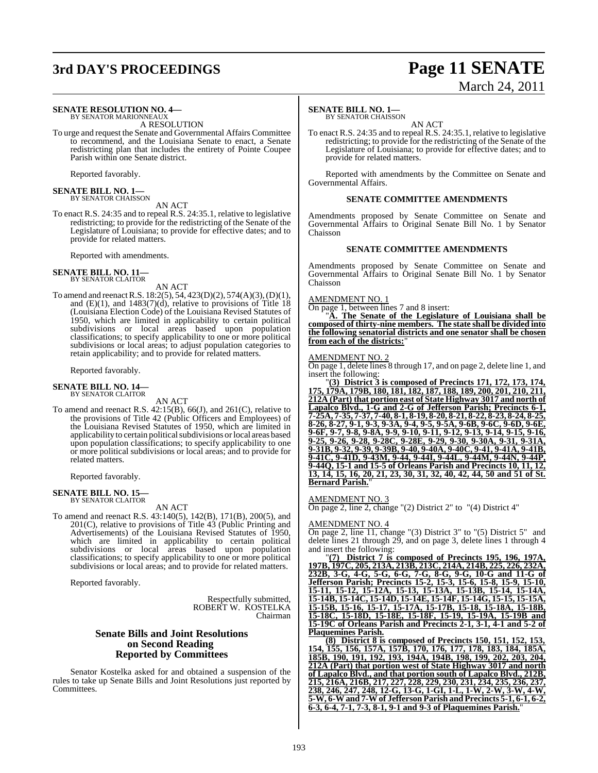## **3rd DAY'S PROCEEDINGS Page 11 SENATE**

#### **SENATE RESOLUTION NO. 4—** BY SENATOR MARIONNEAUX

A RESOLUTION

To urge and request the Senate and Governmental Affairs Committee to recommend, and the Louisiana Senate to enact, a Senate redistricting plan that includes the entirety of Pointe Coupee Parish within one Senate district.

Reported favorably.

## **SENATE BILL NO. 1—**<br>BY SENATOR CHAISSON

AN ACT

To enact R.S. 24:35 and to repeal R.S. 24:35.1, relative to legislative redistricting; to provide for the redistricting of the Senate of the Legislature of Louisiana; to provide for effective dates; and to provide for related matters.

Reported with amendments.

#### **SENATE BILL NO. 11—** BY SENATOR CLAITOR

AN ACT

To amend and reenact R.S. 18:2(5), 54, 423(D)(2), 574(A)(3), (D)(1), and  $(E)(1)$ , and  $1483(7)(d)$ , relative to provisions of Title 18 (Louisiana Election Code) of the Louisiana Revised Statutes of 1950, which are limited in applicability to certain political subdivisions or local areas based upon population classifications; to specify applicability to one or more political subdivisions or local areas; to adjust population categories to retain applicability; and to provide for related matters.

Reported favorably.

#### **SENATE BILL NO. 14—** BY SENATOR CLAITOR

AN ACT

To amend and reenact R.S. 42:15(B), 66(J), and 261(C), relative to the provisions of Title 42 (Public Officers and Employees) of the Louisiana Revised Statutes of 1950, which are limited in applicability to certain political subdivisions or local areas based upon population classifications; to specify applicability to one or more political subdivisions or local areas; and to provide for related matters.

Reported favorably.

#### **SENATE BILL NO. 15—** BY SENATOR CLAITOR

AN ACT

To amend and reenact R.S. 43:140(5), 142(B), 171(B), 200(5), and 201(C), relative to provisions of Title 43 (Public Printing and Advertisements) of the Louisiana Revised Statutes of 1950, which are limited in applicability to certain political subdivisions or local areas based upon population classifications; to specify applicability to one or more political subdivisions or local areas; and to provide for related matters.

Reported favorably.

Respectfully submitted, ROBERT W. KOSTELKA Chairman

#### **Senate Bills and Joint Resolutions on Second Reading Reported by Committees**

Senator Kostelka asked for and obtained a suspension of the rules to take up Senate Bills and Joint Resolutions just reported by Committees.

#### **SENATE BILL NO. 1—**

BY SENATOR CHAISSON

AN ACT To enact R.S. 24:35 and to repeal R.S. 24:35.1, relative to legislative redistricting; to provide for the redistricting of the Senate of the Legislature of Louisiana; to provide for effective dates; and to provide for related matters.

Reported with amendments by the Committee on Senate and Governmental Affairs.

#### **SENATE COMMITTEE AMENDMENTS**

Amendments proposed by Senate Committee on Senate and Governmental Affairs to Original Senate Bill No. 1 by Senator Chaisson

#### **SENATE COMMITTEE AMENDMENTS**

Amendments proposed by Senate Committee on Senate and Governmental Affairs to Original Senate Bill No. 1 by Senator Chaisson

#### AMENDMENT NO. 1

On page 1, between lines 7 and 8 insert:

"**A. The Senate of the Legislature of Louisiana shall be composed of thirty-nine members. The state shall be divided into the following senatorial districts and one senator shall be chosen from each of the districts:**"

#### AMENDMENT NO. 2

On page 1, delete lines 8 through 17, and on page 2, delete line 1, and insert the following:

"**(3) District 3 is composed of Precincts 171, 172, 173, 174, 175, 179A, 179B, 180, 181, 182, 187, 188, 189, 200, 201, 210, 211, 212A (Part) that portion east of State Highway 3017 and north of Lapalco Blvd., 1-G and 2-G of Jefferson Parish; Precincts 6-1, 7-25A, 7-35, 7-37, 7-40, 8-1, 8-19, 8-20, 8-21, 8-22, 8-23, 8-24, 8-25, 8-26, 8-27, 9-1, 9-3, 9-3A, 9-4, 9-5, 9-5A, 9-6B, 9-6C, 9-6D, 9-6E, 9-6F, 9-7, 9-8, 9-8A, 9-9, 9-10, 9-11, 9-12, 9-13, 9-14, 9-15, 9-16, 9-25, 9-26, 9-28, 9-28C, 9-28E, 9-29, 9-30, 9-30A, 9-31, 9-31A, 9-31B, 9-32, 9-39, 9-39B, 9-40, 9-40A, 9-40C, 9-41, 9-41A, 9-41B, 9-41C, 9-41D, 9-43M, 9-44, 9-44I, 9-44L, 9-44M, 9-44N, 9-44P, 9-44Q, 15-1 and 15-5 of Orleans Parish and Precincts 10, 11, 12, 13, 14, 15, 16, 20, 21, 23, 30, 31, 32, 40, 42, 44, 50 and 51 of St. Bernard Parish.**"

AMENDMENT NO. 3

On page 2, line 2, change "(2) District 2" to "(4) District 4"

#### AMENDMENT NO. 4

On page 2, line 11, change "(3) District 3" to "(5) District 5" and delete lines 21 through 29, and on page 3, delete lines 1 through 4 and insert the following:

"**(7) District 7 is composed of Precincts 195, 196, 197A, 197B, 197C, 205, 213A, 213B, 213C, 214A, 214B, 225, 226, 232A, 232B, 3-G, 4-G, 5-G, 6-G, 7-G, 8-G, 9-G, 10-G and 11-G of Jefferson Parish; Precincts 15-2, 15-3, 15-6, 15-8, 15-9, 15-10, 15-11, 15-12, 15-12A, 15-13, 15-13A, 15-13B, 15-14, 15-14A, 15-14B, 15-14C, 15-14D, 15-14E, 15-14F, 15-14G, 15-15, 15-15A, 15-15B, 15-16, 15-17, 15-17A, 15-17B, 15-18, 15-18A, 15-18B, 15-18C, 15-18D, 15-18E, 15-18F, 15-19, 15-19A, 15-19B and 15-19C of Orleans Parish and Precincts 2-1, 3-1, 4-1 and 5-2 of Plaquemines Parish.**

**(8) District 8 is composed of Precincts 150, 151, 152, 153, 154, 155, 156, 157A, 157B, 170, 176, 177, 178, 183, 184, 185A, 185B, 190, 191, 192, 193, 194A, 194B, 198, 199, 202, 203, 204, 212A (Part) that portion west of State Highway 3017 and north of Lapalco Blvd., and that portion south of Lapalco Blvd., 212B, 215, 216A, 216B, 217, 227, 228, 229, 230, 231, 234, 235, 236, 237, 238, 246, 247, 248, 12-G, 13-G, 1-GI, 1-L, 1-W, 2-W, 3-W, 4-W, 5-W, 6-Wand 7-Wof Jefferson Parish andPrecincts 5-1, 6-1, 6-2, 6-3, 6-4, 7-1, 7-3, 8-1, 9-1 and 9-3 of Plaquemines Parish.**"

# March 24, 2011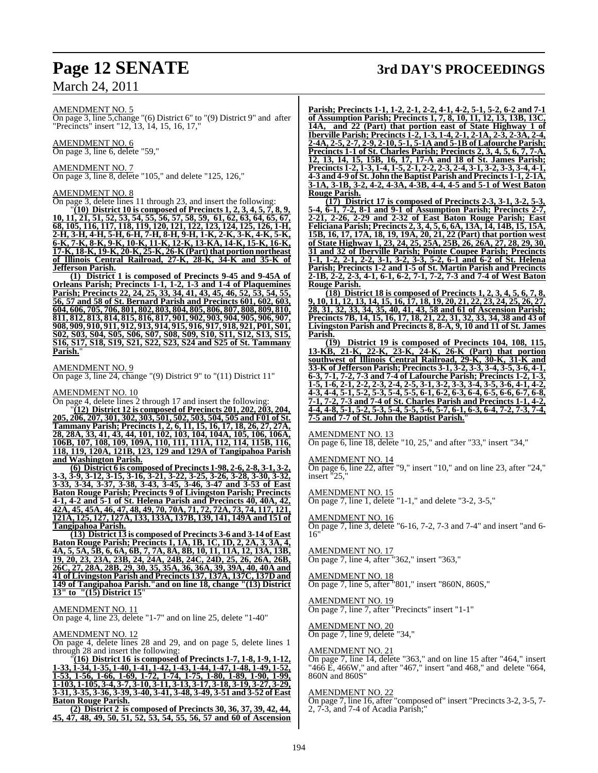#### AMENDMENT NO. 5

On page 3, line 5,change "(6) District 6" to "(9) District 9" and after "Precincts" insert "12, 13, 14, 15, 16, 17,"

AMENDMENT NO. 6 On page 3, line 6, delete "59,"

AMENDMENT NO. 7

On page 3, line 8, delete "105," and delete "125, 126,"

#### AMENDMENT NO. 8

On page 3, delete lines 11 through 23, and insert the following: "**(10) District 10 is composed of Precincts 1, 2, 3, 4, 5, 7, 8, 9, 10, 11, 21, 51, 52, 53, 54, 55, 56, 57, 58, 59, 61, 62, 63, 64, 65, 67, 68, 105, 116, 117, 118, 119, 120, 121, 122, 123, 124, 125, 126, 1-H, 2-H, 3-H, 4-H, 5-H, 6-H, 7-H, 8-H, 9-H, 1-K, 2-K, 3-K, 4-K, 5-K, 6-K, 7-K, 8-K, 9-K, 10-K, 11-K, 12-K, 13-KA, 14-K, 15-K, 16-K, 17-K, 18-K, 19-K, 20-K, 25-K, 26-K (Part) that portion northeast of Illinois Central Railroad, 27-K, 28-K, 34-K and 35-K of Jefferson Parish.**

**(1) District 1 is composed of Precincts 9-45 and 9-45A of Orleans Parish; Precincts 1-1, 1-2, 1-3 and 1-4 of Plaquemines Parish; Precincts 22, 24, 25, 33, 34, 41, 43, 45, 46, 52, 53, 54, 55, 56, 57 and 58 of St. Bernard Parish and Precincts 601, 602, 603, 604, 606, 705, 706, 801, 802, 803, 804, 805, 806, 807, 808, 809, 810, 811, 812, 813, 814, 815, 816, 817, 901, 902, 903, 904, 905, 906, 907, 908, 909, 910, 911, 912, 913, 914, 915, 916, 917, 918, 921, P01, S01, S02, S03, S04, S05, S06, S07, S08, S09, S10, S11, S12, S13, S15, S16, S17, S18, S19, S21, S22, S23, S24 and S25 of St. Tammany Parish.**"

#### AMENDMENT NO. 9

On page 3, line 24, change "(9) District 9" to "(11) District 11"

#### AMENDMENT NO. 10

On page 4, delete lines 2 through 17 and insert the following:

"**(12) District 12 is composed of Precincts 201, 202, 203, 204, 205, 206, 207, 301, 302, 303, 501, 502, 503, 504, 505 and F01 of St. Tammany Parish; Precincts 1, 2, 6, 11, 15, 16, 17, 18, 26, 27, 27A, 28, 28A, 33, 41, 43, 44, 101, 102, 103, 104, 104A, 105, 106, 106A, 106B, 107, 108, 109, 109A, 110, 111, 111A, 112, 114, 115B, 116, 118, 119, 120A, 121B, 123, 129 and 129A of Tangipahoa Parish and Washington Parish.**

**(6) District 6 is composed of Precincts 1-98, 2-6, 2-8, 3-1, 3-2, 3-3, 3-9, 3-12, 3-15, 3-16, 3-21, 3-22, 3-25, 3-26, 3-28, 3-30, 3-32, 3-33, 3-34, 3-37, 3-38, 3-43, 3-45, 3-46, 3-47 and 3-53 of East Baton Rouge Parish; Precincts 9 of Livingston Parish; Precincts 4-1, 4-2 and 5-1 of St. Helena Parish and Precincts 40, 40A, 42, 42A, 45, 45A, 46, 47, 48, 49, 70, 70A, 71, 72, 72A, 73, 74, 117, 121, 121A, 125, 127, 127A, 133, 133A, 137B, 139, 141, 149A and 151 of Tangipahoa Parish.**

**(13) District 13 is composed of Precincts 3-6 and 3-14 of East Baton Rouge Parish; Precincts 1, 1A, 1B, 1C, 1D, 2, 2A, 3, 3A, 4, 4A, 5, 5A, 5B, 6, 6A, 6B, 7, 7A, 8A, 8B, 10, 11, 11A, 12, 13A, 13B, 19, 20, 23, 23A, 23B, 24, 24A, 24B, 24C, 24D, 25, 26, 26A, 26B, 26C, 27, 28A, 28B, 29, 30, 35, 35A, 36, 36A, 39, 39A, 40, 40A and 41 of Livingston Parish and Precincts 137, 137A, 137C, 137D and 149 of Tangipahoa Parish."and on line 18, change "(13) District 13" to "(15) District 15**"

#### <u>AMENDMENT NO. 11</u>

On page 4, line 23, delete "1-7" and on line 25, delete "1-40"

#### AMENDMENT NO. 12

On page 4, delete lines 28 and 29, and on page 5, delete lines 1 through 28 and insert the following:

"**(16) District 16 is composed of Precincts 1-7, 1-8, 1-9, 1-12, 1-33, 1-34, 1-35, 1-40, 1-41, 1-42, 1-43, 1-44, 1-47, 1-48, 1-49, 1-52, 1-53, 1-56, 1-66, 1-69, 1-72, 1-74, 1-75, 1-80, 1-89, 1-90, 1-99, 1-103, 1-105, 3-4, 3-7, 3-10, 3-11, 3-13, 3-17, 3-18, 3-19, 3-27, 3-29, 3-31, 3-35, 3-36, 3-39, 3-40, 3-41, 3-48, 3-49, 3-51 and 3-52 of East Baton Rouge Parish.**

**(2) District 2 is composed of Precincts 30, 36, 37, 39, 42, 44, 45, 47, 48, 49, 50, 51, 52, 53, 54, 55, 56, 57 and 60 of Ascension**

## **Page 12 SENATE 3rd DAY'S PROCEEDINGS**

**Parish; Precincts 1-1, 1-2, 2-1, 2-2, 4-1, 4-2, 5-1, 5-2, 6-2 and 7-1 of Assumption Parish; Precincts 1, 7, 8, 10, 11, 12, 13, 13B, 13C, 14A, and 22 (Part) that portion east of State Highway 1 of Iberville Parish; Precincts 1-2, 1-3, 1-4, 2-1, 2-1A, 2-3, 2-3A, 2-4, 2-4A, 2-5, 2-7, 2-9, 2-10, 5-1, 5-1A and 5-1B of Lafourche Parish; Precincts 1-1 of St. Charles Parish; Precincts 2, 3, 4, 5, 6, 7, 7-A, 12, 13, 14, 15, 15B, 16, 17, 17-A and 18 of St. James Parish; Precincts 1-2, 1-3, 1-4, 1-5, 2-1, 2-2, 2-3, 2-4, 3-1, 3-2, 3-3, 3-4, 4-1, 4-3 and 4-9 of St. John the Baptist Parish and Precincts 1-1, 2-1A, 3-1A, 3-1B, 3-2, 4-2, 4-3A, 4-3B, 4-4, 4-5 and 5-1 of West Baton Rouge Parish.**

**(17) District 17 is composed of Precincts 2-3, 3-1, 3-2, 5-3, 5-4, 6-1, 7-2, 8-1 and 9-1 of Assumption Parish; Precincts 2-7, 2-21, 2-26, 2-29 and 2-32 of East Baton Rouge Parish; East Feliciana Parish; Precincts 2, 3, 4, 5, 6, 6A, 13A, 14, 14B, 15, 15A, 15B, 16, 17, 17A, 18, 19, 19A, 20, 21, 22 (Part) that portion west of State Highway 1, 23, 24, 25, 25A, 25B, 26, 26A, 27, 28, 29, 30, 31 and 32 of Iberville Parish; Pointe Coupee Parish; Precincts 1-1, 1-2, 2-1, 2-2, 3-1, 3-2, 3-3, 5-2, 6-1 and 6-2 of St. Helena Parish; Precincts 1-2 and 1-5 of St. Martin Parish and Precincts 2-1B, 2-2, 2-3, 4-1, 6-1, 6-2, 7-1, 7-2, 7-3 and 7-4 of West Baton Rouge Parish.**

**(18) District 18 is composed of Precincts 1, 2, 3, 4, 5, 6, 7, 8, 9, 10, 11, 12, 13, 14, 15, 16, 17, 18, 19, 20, 21, 22, 23, 24, 25, 26, 27, 28, 31, 32, 33, 34, 35, 40, 41, 43, 58 and 61 of Ascension Parish; Precincts 7B, 14, 15, 16, 17, 18, 21, 22, 31, 32, 33, 34, 38 and 43 of Livingston Parish and Precincts 8, 8-A, 9, 10 and 11 of St. James Parish.**

**(19) District 19 is composed of Precincts 104, 108, 115, 13-KB, 21-K, 22-K, 23-K, 24-K, 26-K (Part) that portion southwest of Illinois Central Railroad, 29-K, 30-K, 31-K and 33-K of Jefferson Parish; Precincts 3-1, 3-2, 3-3, 3-4, 3-5, 3-6, 4-1, 6-3, 7-1, 7-2, 7-3 and 7-4 of Lafourche Parish; Precincts 1-2, 1-3, 1-5, 1-6, 2-1, 2-2, 2-3, 2-4, 2-5, 3-1, 3-2, 3-3, 3-4, 3-5, 3-6, 4-1, 4-2, 4-3, 4-4, 5-1, 5-2, 5-3, 5-4, 5-5, 6-1, 6-2, 6-3, 6-4, 6-5, 6-6, 6-7, 6-8, 7-1, 7-2, 7-3 and 7-4 of St. Charles Parish and Precincts 1-1, 4-2, 4-4, 4-8, 5-1, 5-2, 5-3, 5-4, 5-5, 5-6, 5-7, 6-1, 6-3, 6-4, 7-2, 7-3, 7-4, 7-5 and 7-7 of St. John the Baptist Parish.**"

#### AMENDMENT NO. 13

On page 6, line 18, delete "10, 25," and after "33," insert "34,"

#### AMENDMENT NO. 14

On page 6, line 22, after "9," insert "10," and on line 23, after "24," insert "25,"

#### AMENDMENT NO. 15

On page 7, line 1, delete "1-1," and delete "3-2, 3-5,"

#### AMENDMENT NO. 16

On page 7, line 3, delete "6-16, 7-2, 7-3 and 7-4" and insert "and 6- 16"

#### AMENDMENT NO. 17

On page 7, line 4, after "362," insert "363,"

#### AMENDMENT NO. 18 On page 7, line 5, after "801," insert "860N, 860S,"

### AMENDMENT NO. 19

On page 7, line 7, after "Precincts" insert "1-1"

#### AMENDMENT NO. 20 On page 7, line 9, delete "34,"

#### AMENDMENT NO. 21

On page 7, line 14, delete "363," and on line 15 after "464," insert "466 E, 466W," and after "467," insert "and 468," and delete "664, 860N and 860S"

#### AMENDMENT NO. 22

On page 7, line 16, after "composed of" insert "Precincts 3-2, 3-5, 7- 2, 7-3, and 7-4 of Acadia Parish;"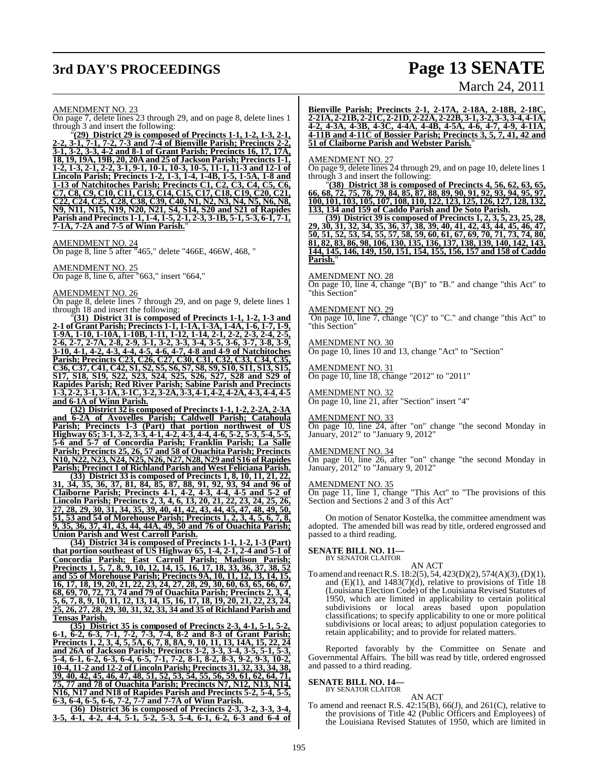## **3rd DAY'S PROCEEDINGS Page 13 SENATE** March 24, 2011

AMENDMENT NO. 23

On page 7, delete lines 23 through 29, and on page 8, delete lines 1 through 3 and insert the following:

"**(29) District 29 is composed of Precincts 1-1, 1-2, 1-3, 2-1, 2-2, 3-1, 7-1, 7-2, 7-3 and 7-4 of Bienville Parish; Precincts 2-2, 3-1, 3-2, 3-3, 4-2 and 8-1 of Grant Parish; Precincts 16, 17, 17A, 18, 19, 19A, 19B, 20, 20A and 25 of Jackson Parish; Precincts 1-1, 1-2, 1-3, 2-1, 2-2, 3-1, 9-1, 10-1, 10-3, 10-5, 11-1, 11-3 and 12-1 of Lincoln Parish; Precincts 1-2, 1-3, 1-4, 1-4B, 1-5, 1-5A, 1-8 and 1-13 of Natchitoches Parish; Precincts C1, C2, C3, C4, C5, C6, C7, C8, C9, C10, C11, C13, C14, C15, C17, C18, C19, C20, C21, C22, C24, C25, C28, C38, C39, C40, N1, N2, N3, N4, N5, N6, N8, N9, N11, N15, N19, N20, N21, S4, S14, S20 and S21 of Rapides Parish and Precincts 1-1, 1-4, 1-5, 2-1, 2-3, 3-1B, 5-1, 5-3, 6-1, 7-1, 7-1A, 7-2A and 7-5 of Winn Parish.**"

AMENDMENT NO. 24 On page 8, line 5 after "465," delete "466E, 466W, 468, "

AMENDMENT NO. 25 On page 8, line 6, after "663," insert "664,"

#### AMENDMENT NO. 26

On page 8, delete lines 7 through 29, and on page 9, delete lines 1 through 18 and insert the following:

"**(31) District 31 is composed of Precincts 1-1, 1-2, 1-3 and 2-1 of Grant Parish; Precincts 1-1, 1-1A, 1-3A, 1-4A, 1-6, 1-7, 1-9, 1-9A, 1-10, 1-10A, 1-10B, 1-11, 1-12, 1-14, 2-1, 2-2, 2-3, 2-4, 2-5, 2-6, 2-7, 2-7A, 2-8, 2-9, 3-1, 3-2, 3-3, 3-4, 3-5, 3-6, 3-7, 3-8, 3-9, 3-10, 4-1, 4-2, 4-3, 4-4, 4-5, 4-6, 4-7, 4-8 and 4-9 of Natchitoches Parish; Precincts C23, C26, C27, C30, C31, C32, C33, C34, C35, C36, C37, C41, C42, S1, S2, S5, S6, S7, S8, S9, S10, S11, S13, S15, S17, S18, S19, S22, S23, S24, S25, S26, S27, S28 and S29 of Rapides Parish; Red River Parish; Sabine Parish and Precincts 1-3, 2-2, 3-1, 3-1A, 3-1C, 3-2, 3-2A, 3-3, 4-1, 4-2, 4-2A, 4-3, 4-4, 4-5 and 6-1A of Winn Parish.**

**(32) District 32 is composed of Precincts 1-1, 1-2, 2-2A, 2-3A and 6-2A of Avoyelles Parish; Caldwell Parish; Catahoula Parish; Precincts 1-3 (Part) that portion northwest of US Highway 65; 3-1, 3-2, 3-3, 4-1, 4-2, 4-3, 4-4, 4-6, 5-2, 5-3, 5-4, 5-5, 5-6 and 5-7 of Concordia Parish; Franklin Parish; La Salle Parish; Precincts 25, 26, 57 and 58 of Ouachita Parish; Precincts N10, N22, N23, N24, N25, N26, N27, N28, N29 and S16 of Rapides Parish; Precinct 1 of Richland Parish and West Feliciana Parish.**

**(33) District 33 is composed of Precincts 1, 8, 10, 11, 21, 22, 31, 34, 35, 36, 37, 81, 84, 85, 87, 88, 91, 92, 93, 94 and 96 of Claiborne Parish; Precincts 4-1, 4-2, 4-3, 4-4, 4-5 and 5-2 of Lincoln Parish; Precincts 2, 3, 4, 6, 13, 20, 21, 22, 23, 24, 25, 26, 27, 28, 29, 30, 31, 34, 35, 39, 40, 41, 42, 43, 44, 45, 47, 48, 49, 50, 51, 53 and 54 of Morehouse Parish; Precincts 1, 2, 3, 4, 5, 6, 7, 8, 9, 35, 36, 37, 41, 43, 44, 44A, 49, 50 and 76 of Ouachita Parish; Union Parish and West Carroll Parish.**

**(34) District 34 is composed of Precincts 1-1, 1-2, 1-3 (Part) that portion southeast of US Highway 65, 1-4, 2-1, 2-4 and 5-1 of Concordia Parish; East Carroll Parish; Madison Parish; Precincts 1, 5, 7, 8, 9, 10, 12, 14, 15, 16, 17, 18, 33, 36, 37, 38, 52 and 55 of Morehouse Parish; Precincts 9A, 10, 11, 12, 13, 14, 15, 16, 17, 18, 19, 20, 21, 22, 23, 24, 27, 28, 29, 30, 60, 63, 65, 66, 67, 68, 69, 70, 72, 73, 74 and 79 of Ouachita Parish; Precincts 2, 3, 4, 5, 6, 7, 8, 9, 10, 11, 12, 13, 14, 15, 16, 17, 18, 19, 20, 21, 22, 23, 24, 25, 26, 27, 28, 29, 30, 31, 32, 33, 34 and 35 of Richland Parish and Tensas Parish.**

**(35) District 35 is composed of Precincts 2-3, 4-1, 5-1, 5-2, 6-1, 6-2, 6-3, 7-1, 7-2, 7-3, 7-4, 8-2 and 8-3 of Grant Parish; Precincts 1, 2, 3, 4, 5, 5A, 6, 7, 8, 8A, 9, 10, 11, 13, 14A, 15, 22, 24 and 26A of Jackson Parish; Precincts 3-2, 3-3, 3-4, 3-5, 5-1, 5-3, 5-4, 6-1, 6-2, 6-3, 6-4, 6-5, 7-1, 7-2, 8-1, 8-2, 8-3, 9-2, 9-3, 10-2, 10-4, 11-2 and 12-2 of Lincoln Parish; Precincts 31, 32, 33, 34, 38, 39, 40, 42, 45, 46, 47, 48, 51, 52, 53, 54, 55, 56, 59, 61, 62, 64, 71, 75, 77 and 78 of Ouachita Parish; Precincts N7, N12, N13, N14, N16, N17 and N18 of Rapides Parish and Precincts 5-2, 5-4, 5-5, 6-3, 6-4, 6-5, 6-6, 7-2, 7-7 and 7-7A of Winn Parish.**

**(36) District 36 is composed of Precincts 2-3, 3-2, 3-3, 3-4, 3-5, 4-1, 4-2, 4-4, 5-1, 5-2, 5-3, 5-4, 6-1, 6-2, 6-3 and 6-4 of** **Bienville Parish; Precincts 2-1, 2-17A, 2-18A, 2-18B, 2-18C, 2-21A, 2-21B, 2-21C, 2-21D, 2-22A, 2-22B, 3-1, 3-2, 3-3, 3-4, 4-1A, 4-2, 4-3A, 4-3B, 4-3C, 4-4A, 4-4B, 4-5A, 4-6, 4-7, 4-9, 4-11A, 4-11B and 4-11C of Bossier Parish; Precincts 3, 5, 7, 41, 42 and 51 of Claiborne Parish and Webster Parish.**"

#### AMENDMENT NO. 27

On page 9, delete lines 24 through 29, and on page 10, delete lines 1 through 3 and insert the following:

"**(38) District 38 is composed of Precincts 4, 56, 62, 63, 65, 66, 68, 72, 75, 78, 79, 84, 85, 87, 88, 89, 90, 91, 92, 93, 94, 95, 97, 100, 101, 103, 105, 107, 108, 110, 122, 123, 125, 126, 127, 128, 132, 133, 134 and 159 of Caddo Parish and De Soto Parish.**

**(39) District 39 is composed of Precincts 1, 2, 3, 5, 23, 25, 28, 29, 30, 31, 32, 34, 35, 36, 37, 38, 39, 40, 41, 42, 43, 44, 45, 46, 47, 50, 51, 52, 53, 54, 55, 57, 58, 59, 60, 61, 67, 69, 70, 71, 73, 74, 80, 81, 82, 83, 86, 98, 106, 130, 135, 136, 137, 138, 139, 140, 142, 143, 144, 145, 146, 149, 150, 151, 154, 155, 156, 157 and 158 of Caddo Parish.**"

AMENDMENT NO. 28

 $\overline{\text{On page 10, line 4, change}}$  "(B)" to "B." and change "this Act" to "this Section"

AMENDMENT NO. 29

On page 10, line 7, change "(C)" to "C." and change "this Act" to "this Section"

AMENDMENT NO. 30 On page 10, lines 10 and 13, change "Act" to "Section"

AMENDMENT NO. 31 On page 10, line 18, change "2012" to "2011"

#### AMENDMENT NO. 32

On page 10, line 21, after "Section" insert "4"

#### AMENDMENT NO. 33

On page 10, line 24, after "on" change "the second Monday in January, 2012" to "January 9, 2012"

### AMENDMENT NO. 34

On page 10, line 26, after "on" change "the second Monday in January, 2012" to "January 9, 2012"

#### AMENDMENT NO. 35

On page 11, line 1, change "This Act" to "The provisions of this Section and Sections 2 and 3 of this Act"

On motion of Senator Kostelka, the committee amendment was adopted. The amended bill was read by title, ordered engrossed and passed to a third reading.

## **SENATE BILL NO. 11—** BY SENATOR CLAITOR

AN ACT To amend and reenact R.S. 18:2(5), 54, 423(D)(2), 574(A)(3), (D)(1), and  $(E)(1)$ , and  $1483(7)(d)$ , relative to provisions of Title 18 (Louisiana Election Code) of the Louisiana Revised Statutes of 1950, which are limited in applicability to certain political subdivisions or local areas based upon population classifications; to specify applicability to one or more political subdivisions or local areas; to adjust population categories to retain applicability; and to provide for related matters.

Reported favorably by the Committee on Senate and Governmental Affairs. The bill was read by title, ordered engrossed and passed to a third reading.

## **SENATE BILL NO. 14—** BY SENATOR CLAITOR

AN ACT To amend and reenact R.S. 42:15(B), 66(J), and 261(C), relative to the provisions of Title 42 (Public Officers and Employees) of the Louisiana Revised Statutes of 1950, which are limited in